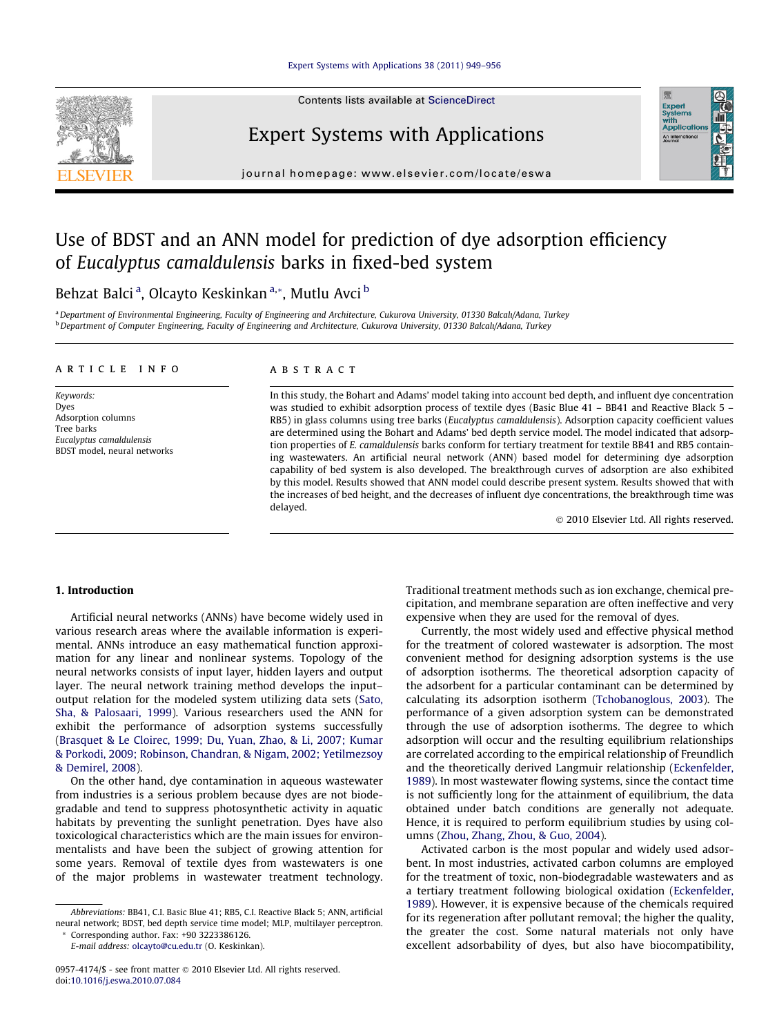#### [Expert Systems with Applications 38 \(2011\) 949–956](http://dx.doi.org/10.1016/j.eswa.2010.07.084)



Contents lists available at [ScienceDirect](http://www.sciencedirect.com/science/journal/09574174)

## Expert Systems with Applications



# Use of BDST and an ANN model for prediction of dye adsorption efficiency of Eucalyptus camaldulensis barks in fixed-bed system

### Behzat Balci <sup>a</sup>, Olcayto Keskinkan <sup>a,</sup>\*, Mutlu Avci <sup>b</sup>

a Department of Environmental Engineering, Faculty of Engineering and Architecture, Cukurova University, 01330 Balcalı/Adana, Turkey <sup>b</sup> Department of Computer Engineering, Faculty of Engineering and Architecture, Cukurova University, 01330 Balcalı/Adana, Turkey

#### article info

Keywords: Dyes Adsorption columns Tree barks Eucalyptus camaldulensis BDST model, neural networks

#### ABSTRACT

In this study, the Bohart and Adams' model taking into account bed depth, and influent dye concentration was studied to exhibit adsorption process of textile dyes (Basic Blue 41 – BB41 and Reactive Black 5 – RB5) in glass columns using tree barks (Eucalyptus camaldulensis). Adsorption capacity coefficient values are determined using the Bohart and Adams' bed depth service model. The model indicated that adsorption properties of E. camaldulensis barks conform for tertiary treatment for textile BB41 and RB5 containing wastewaters. An artificial neural network (ANN) based model for determining dye adsorption capability of bed system is also developed. The breakthrough curves of adsorption are also exhibited by this model. Results showed that ANN model could describe present system. Results showed that with the increases of bed height, and the decreases of influent dye concentrations, the breakthrough time was delayed.

- 2010 Elsevier Ltd. All rights reserved.

Expert<br>Systems<br>with<br>Applical

#### 1. Introduction

Artificial neural networks (ANNs) have become widely used in various research areas where the available information is experimental. ANNs introduce an easy mathematical function approximation for any linear and nonlinear systems. Topology of the neural networks consists of input layer, hidden layers and output layer. The neural network training method develops the input– output relation for the modeled system utilizing data sets ([Sato,](#page--1-0) [Sha, & Palosaari, 1999\)](#page--1-0). Various researchers used the ANN for exhibit the performance of adsorption systems successfully ([Brasquet & Le Cloirec, 1999; Du, Yuan, Zhao, & Li, 2007; Kumar](#page--1-0) [& Porkodi, 2009; Robinson, Chandran, & Nigam, 2002; Yetilmezsoy](#page--1-0) [& Demirel, 2008](#page--1-0)).

On the other hand, dye contamination in aqueous wastewater from industries is a serious problem because dyes are not biodegradable and tend to suppress photosynthetic activity in aquatic habitats by preventing the sunlight penetration. Dyes have also toxicological characteristics which are the main issues for environmentalists and have been the subject of growing attention for some years. Removal of textile dyes from wastewaters is one of the major problems in wastewater treatment technology.

Corresponding author. Fax: +90 3223386126. E-mail address: [olcayto@cu.edu.tr](mailto:olcayto@cu.edu.tr) (O. Keskinkan). Traditional treatment methods such as ion exchange, chemical precipitation, and membrane separation are often ineffective and very expensive when they are used for the removal of dyes.

Currently, the most widely used and effective physical method for the treatment of colored wastewater is adsorption. The most convenient method for designing adsorption systems is the use of adsorption isotherms. The theoretical adsorption capacity of the adsorbent for a particular contaminant can be determined by calculating its adsorption isotherm [\(Tchobanoglous, 2003](#page--1-0)). The performance of a given adsorption system can be demonstrated through the use of adsorption isotherms. The degree to which adsorption will occur and the resulting equilibrium relationships are correlated according to the empirical relationship of Freundlich and the theoretically derived Langmuir relationship ([Eckenfelder,](#page--1-0) [1989\)](#page--1-0). In most wastewater flowing systems, since the contact time is not sufficiently long for the attainment of equilibrium, the data obtained under batch conditions are generally not adequate. Hence, it is required to perform equilibrium studies by using columns [\(Zhou, Zhang, Zhou, & Guo, 2004](#page--1-0)).

Activated carbon is the most popular and widely used adsorbent. In most industries, activated carbon columns are employed for the treatment of toxic, non-biodegradable wastewaters and as a tertiary treatment following biological oxidation ([Eckenfelder,](#page--1-0) [1989\)](#page--1-0). However, it is expensive because of the chemicals required for its regeneration after pollutant removal; the higher the quality, the greater the cost. Some natural materials not only have excellent adsorbability of dyes, but also have biocompatibility,

Abbreviations: BB41, C.I. Basic Blue 41; RB5, C.I. Reactive Black 5; ANN, artificial neural network; BDST, bed depth service time model; MLP, multilayer perceptron.

<sup>0957-4174/\$ -</sup> see front matter © 2010 Elsevier Ltd. All rights reserved. doi[:10.1016/j.eswa.2010.07.084](http://dx.doi.org/10.1016/j.eswa.2010.07.084)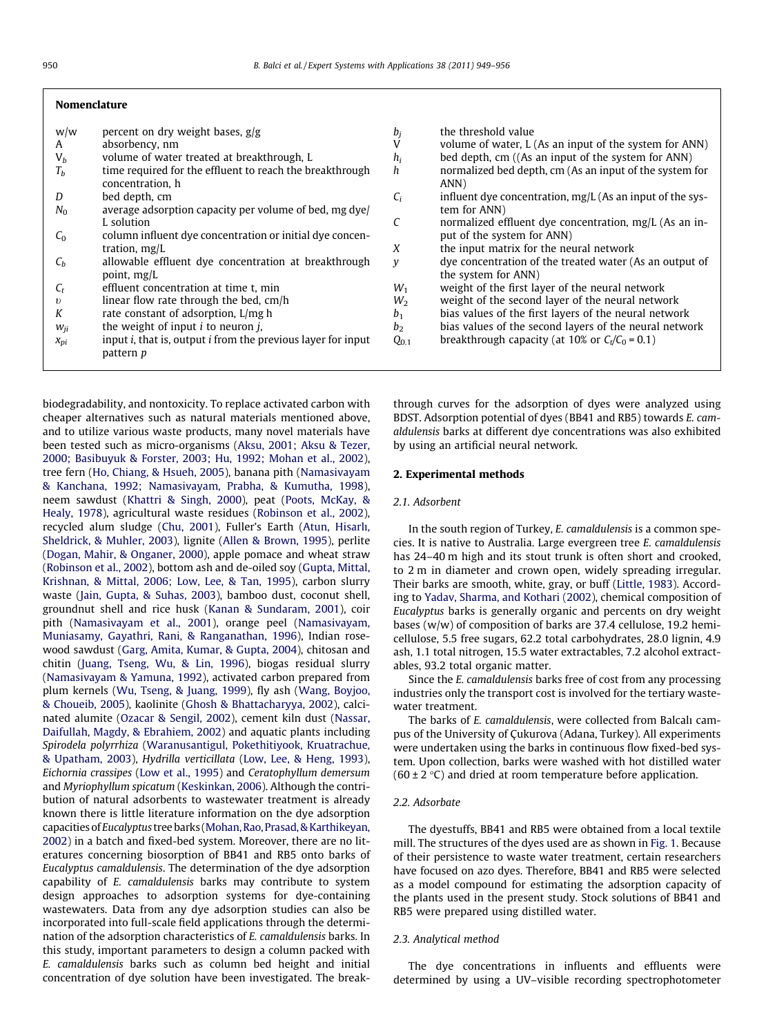#### Nomenclature

| w/w<br>A       | percent on dry weight bases, g/g<br>absorbency, nm                                                     | b <sub>i</sub> | the threshold value<br>volume of water, L (As an input of the system for ANN)                                 |
|----------------|--------------------------------------------------------------------------------------------------------|----------------|---------------------------------------------------------------------------------------------------------------|
| $V_b$<br>$T_h$ | volume of water treated at breakthrough, L<br>time required for the effluent to reach the breakthrough | $h_i$<br>h     | bed depth, cm ((As an input of the system for ANN)<br>normalized bed depth, cm (As an input of the system for |
|                | concentration, h                                                                                       |                | ANN)                                                                                                          |
| D              | bed depth, cm                                                                                          | $C_i$          | influent dye concentration, mg/L (As an input of the sys-                                                     |
| $N_0$          | average adsorption capacity per volume of bed, mg dye/                                                 |                | tem for ANN)                                                                                                  |
| C <sub>0</sub> | L solution<br>column influent dye concentration or initial dye concen-                                 | C              | normalized effluent dye concentration, mg/L (As an in-<br>put of the system for ANN)                          |
|                | tration, $mg/L$                                                                                        | X              | the input matrix for the neural network                                                                       |
| $C_h$          | allowable effluent dye concentration at breakthrough<br>point, mg/L                                    | y              | dye concentration of the treated water (As an output of<br>the system for ANN)                                |
| $C_t$          | effluent concentration at time t, min                                                                  | $W_1$          | weight of the first layer of the neural network                                                               |
| $\upsilon$     | linear flow rate through the bed, cm/h                                                                 | $W_2$          | weight of the second layer of the neural network                                                              |
| K              | rate constant of adsorption, L/mg h                                                                    | b <sub>1</sub> | bias values of the first layers of the neural network                                                         |
| $w_{ii}$       | the weight of input $i$ to neuron $j$ ,                                                                | b <sub>2</sub> | bias values of the second layers of the neural network                                                        |
| $\chi_{pi}$    | input <i>i</i> , that is, output <i>i</i> from the previous layer for input<br>pattern <i>p</i>        | $Q_{0.1}$      | breakthrough capacity (at 10% or $C_t/C_0 = 0.1$ )                                                            |

biodegradability, and nontoxicity. To replace activated carbon with cheaper alternatives such as natural materials mentioned above, and to utilize various waste products, many novel materials have been tested such as micro-organisms [\(Aksu, 2001; Aksu & Tezer,](#page--1-0) [2000; Basibuyuk & Forster, 2003; Hu, 1992; Mohan et al., 2002\)](#page--1-0), tree fern [\(Ho, Chiang, & Hsueh, 2005](#page--1-0)), banana pith ([Namasivayam](#page--1-0) [& Kanchana, 1992; Namasivayam, Prabha, & Kumutha, 1998\)](#page--1-0), neem sawdust ([Khattri & Singh, 2000](#page--1-0)), peat ([Poots, McKay, &](#page--1-0) [Healy, 1978\)](#page--1-0), agricultural waste residues [\(Robinson et al., 2002\)](#page--1-0), recycled alum sludge [\(Chu, 2001](#page--1-0)), Fuller's Earth ([Atun, Hisarl](#page--1-0)ı[,](#page--1-0) [Sheldrick, & Muhler, 2003\)](#page--1-0), lignite ([Allen & Brown, 1995](#page--1-0)), perlite ([Dogan, Mahir, & Onganer, 2000\)](#page--1-0), apple pomace and wheat straw ([Robinson et al., 2002\)](#page--1-0), bottom ash and de-oiled soy [\(Gupta, Mittal,](#page--1-0) [Krishnan, & Mittal, 2006; Low, Lee, & Tan, 1995](#page--1-0)), carbon slurry waste ([Jain, Gupta, & Suhas, 2003\)](#page--1-0), bamboo dust, coconut shell, groundnut shell and rice husk ([Kanan & Sundaram, 2001\)](#page--1-0), coir pith ([Namasivayam et al., 2001\)](#page--1-0), orange peel ([Namasivayam,](#page--1-0) [Muniasamy, Gayathri, Rani, & Ranganathan, 1996\)](#page--1-0), Indian rosewood sawdust ([Garg, Amita, Kumar, & Gupta, 2004\)](#page--1-0), chitosan and chitin ([Juang, Tseng, Wu, & Lin, 1996](#page--1-0)), biogas residual slurry ([Namasivayam & Yamuna, 1992](#page--1-0)), activated carbon prepared from plum kernels [\(Wu, Tseng, & Juang, 1999](#page--1-0)), fly ash ([Wang, Boyjoo,](#page--1-0) [& Choueib, 2005\)](#page--1-0), kaolinite [\(Ghosh & Bhattacharyya, 2002\)](#page--1-0), calcinated alumite ([Ozacar & Sengil, 2002](#page--1-0)), cement kiln dust ([Nassar,](#page--1-0) [Daifullah, Magdy, & Ebrahiem, 2002\)](#page--1-0) and aquatic plants including Spirodela polyrrhiza [\(Waranusantigul, Pokethitiyook, Kruatrachue,](#page--1-0) [& Upatham, 2003\)](#page--1-0), Hydrilla verticillata ([Low, Lee, & Heng, 1993\)](#page--1-0), Eichornia crassipes [\(Low et al., 1995\)](#page--1-0) and Ceratophyllum demersum and Myriophyllum spicatum [\(Keskinkan, 2006\)](#page--1-0). Although the contribution of natural adsorbents to wastewater treatment is already known there is little literature information on the dye adsorption capacities of Eucalyptus tree barks ([Mohan, Rao, Prasad, & Karthikeyan,](#page--1-0) [2002\)](#page--1-0) in a batch and fixed-bed system. Moreover, there are no literatures concerning biosorption of BB41 and RB5 onto barks of Eucalyptus camaldulensis. The determination of the dye adsorption capability of E. camaldulensis barks may contribute to system design approaches to adsorption systems for dye-containing wastewaters. Data from any dye adsorption studies can also be incorporated into full-scale field applications through the determination of the adsorption characteristics of E. camaldulensis barks. In this study, important parameters to design a column packed with E. camaldulensis barks such as column bed height and initial concentration of dye solution have been investigated. The breakthrough curves for the adsorption of dyes were analyzed using BDST. Adsorption potential of dyes (BB41 and RB5) towards E. camaldulensis barks at different dye concentrations was also exhibited by using an artificial neural network.

#### 2. Experimental methods

#### 2.1. Adsorbent

In the south region of Turkey, E. camaldulensis is a common species. It is native to Australia. Large evergreen tree E. camaldulensis has 24–40 m high and its stout trunk is often short and crooked, to 2 m in diameter and crown open, widely spreading irregular. Their barks are smooth, white, gray, or buff ([Little, 1983\)](#page--1-0). According to [Yadav, Sharma, and Kothari \(2002](#page--1-0)), chemical composition of Eucalyptus barks is generally organic and percents on dry weight bases (w/w) of composition of barks are 37.4 cellulose, 19.2 hemicellulose, 5.5 free sugars, 62.2 total carbohydrates, 28.0 lignin, 4.9 ash, 1.1 total nitrogen, 15.5 water extractables, 7.2 alcohol extractables, 93.2 total organic matter.

Since the E. camaldulensis barks free of cost from any processing industries only the transport cost is involved for the tertiary wastewater treatment.

The barks of E. camaldulensis, were collected from Balcalı campus of the University of Çukurova (Adana, Turkey). All experiments were undertaken using the barks in continuous flow fixed-bed system. Upon collection, barks were washed with hot distilled water  $(60 \pm 2 \degree C)$  and dried at room temperature before application.

#### 2.2. Adsorbate

The dyestuffs, BB41 and RB5 were obtained from a local textile mill. The structures of the dyes used are as shown in [Fig. 1.](#page--1-0) Because of their persistence to waste water treatment, certain researchers have focused on azo dyes. Therefore, BB41 and RB5 were selected as a model compound for estimating the adsorption capacity of the plants used in the present study. Stock solutions of BB41 and RB5 were prepared using distilled water.

#### 2.3. Analytical method

The dye concentrations in influents and effluents were determined by using a UV–visible recording spectrophotometer